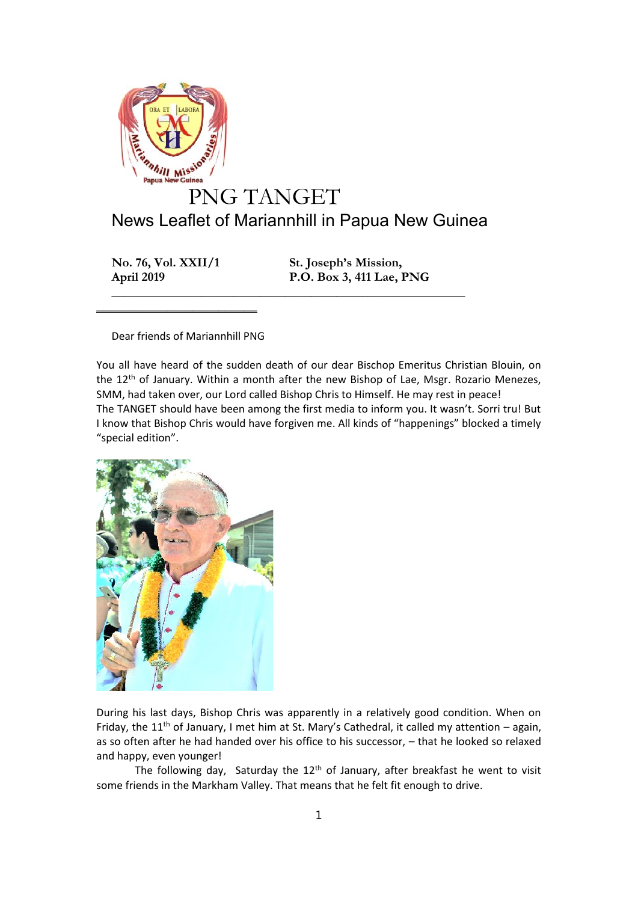

**No. 76, Vol. XXII/1 St. Joseph's Mission, April 2019 P.O. Box 3, 411 Lae, PNG**

Dear friends of Mariannhill PNG

 $\mathcal{L}=\mathcal{L}=\mathcal{L}=\mathcal{L}=\mathcal{L}=\mathcal{L}=\mathcal{L}=\mathcal{L}=\mathcal{L}=\mathcal{L}=\mathcal{L}=\mathcal{L}=\mathcal{L}=\mathcal{L}=\mathcal{L}=\mathcal{L}=\mathcal{L}=\mathcal{L}=\mathcal{L}=\mathcal{L}=\mathcal{L}=\mathcal{L}=\mathcal{L}=\mathcal{L}=\mathcal{L}=\mathcal{L}=\mathcal{L}=\mathcal{L}=\mathcal{L}=\mathcal{L}=\mathcal{L}=\mathcal{L}=\mathcal{L}=\mathcal{L}=\mathcal{L}=\mathcal{L}=\mathcal{$ 

You all have heard of the sudden death of our dear Bischop Emeritus Christian Blouin, on the 12<sup>th</sup> of January. Within a month after the new Bishop of Lae, Msgr. Rozario Menezes, SMM, had taken over, our Lord called Bishop Chris to Himself. He may rest in peace! The TANGET should have been among the first media to inform you. It wasn't. Sorri tru! But I know that Bishop Chris would have forgiven me. All kinds of "happenings" blocked a timely "special edition".

**\_\_\_\_\_\_\_\_\_\_\_\_\_\_\_\_\_\_\_\_\_\_\_\_\_\_\_\_\_\_\_\_\_\_\_\_\_\_\_\_\_\_\_\_\_\_\_\_\_\_\_\_\_\_\_**



During his last days, Bishop Chris was apparently in a relatively good condition. When on Friday, the 11<sup>th</sup> of January, I met him at St. Mary's Cathedral, it called my attention – again, as so often after he had handed over his office to his successor, – that he looked so relaxed and happy, even younger!

The following day, Saturday the  $12<sup>th</sup>$  of January, after breakfast he went to visit some friends in the Markham Valley. That means that he felt fit enough to drive.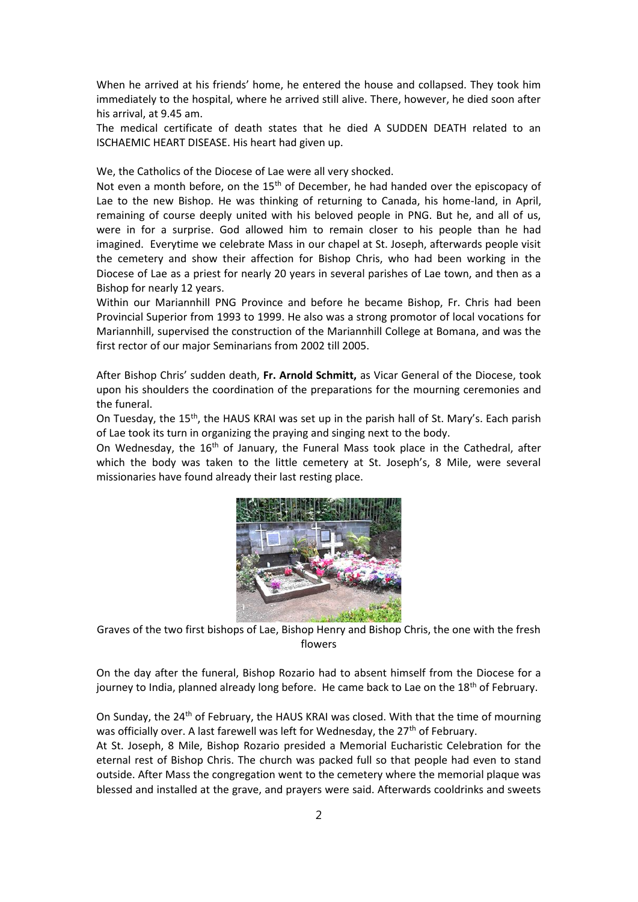When he arrived at his friends' home, he entered the house and collapsed. They took him immediately to the hospital, where he arrived still alive. There, however, he died soon after his arrival, at 9.45 am.

The medical certificate of death states that he died A SUDDEN DEATH related to an ISCHAEMIC HEART DISEASE. His heart had given up.

We, the Catholics of the Diocese of Lae were all very shocked.

Not even a month before, on the  $15<sup>th</sup>$  of December, he had handed over the episcopacy of Lae to the new Bishop. He was thinking of returning to Canada, his home-land, in April, remaining of course deeply united with his beloved people in PNG. But he, and all of us, were in for a surprise. God allowed him to remain closer to his people than he had imagined. Everytime we celebrate Mass in our chapel at St. Joseph, afterwards people visit the cemetery and show their affection for Bishop Chris, who had been working in the Diocese of Lae as a priest for nearly 20 years in several parishes of Lae town, and then as a Bishop for nearly 12 years.

Within our Mariannhill PNG Province and before he became Bishop, Fr. Chris had been Provincial Superior from 1993 to 1999. He also was a strong promotor of local vocations for Mariannhill, supervised the construction of the Mariannhill College at Bomana, and was the first rector of our major Seminarians from 2002 till 2005.

After Bishop Chris' sudden death, **Fr. Arnold Schmitt,** as Vicar General of the Diocese, took upon his shoulders the coordination of the preparations for the mourning ceremonies and the funeral.

On Tuesday, the 15<sup>th</sup>, the HAUS KRAI was set up in the parish hall of St. Mary's. Each parish of Lae took its turn in organizing the praying and singing next to the body.

On Wednesday, the  $16<sup>th</sup>$  of January, the Funeral Mass took place in the Cathedral, after which the body was taken to the little cemetery at St. Joseph's, 8 Mile, were several missionaries have found already their last resting place.



Graves of the two first bishops of Lae, Bishop Henry and Bishop Chris, the one with the fresh flowers

On the day after the funeral, Bishop Rozario had to absent himself from the Diocese for a journey to India, planned already long before. He came back to Lae on the  $18<sup>th</sup>$  of February.

On Sunday, the 24th of February, the HAUS KRAI was closed. With that the time of mourning was officially over. A last farewell was left for Wednesday, the 27<sup>th</sup> of February. At St. Joseph, 8 Mile, Bishop Rozario presided a Memorial Eucharistic Celebration for the eternal rest of Bishop Chris. The church was packed full so that people had even to stand outside. After Mass the congregation went to the cemetery where the memorial plaque was blessed and installed at the grave, and prayers were said. Afterwards cooldrinks and sweets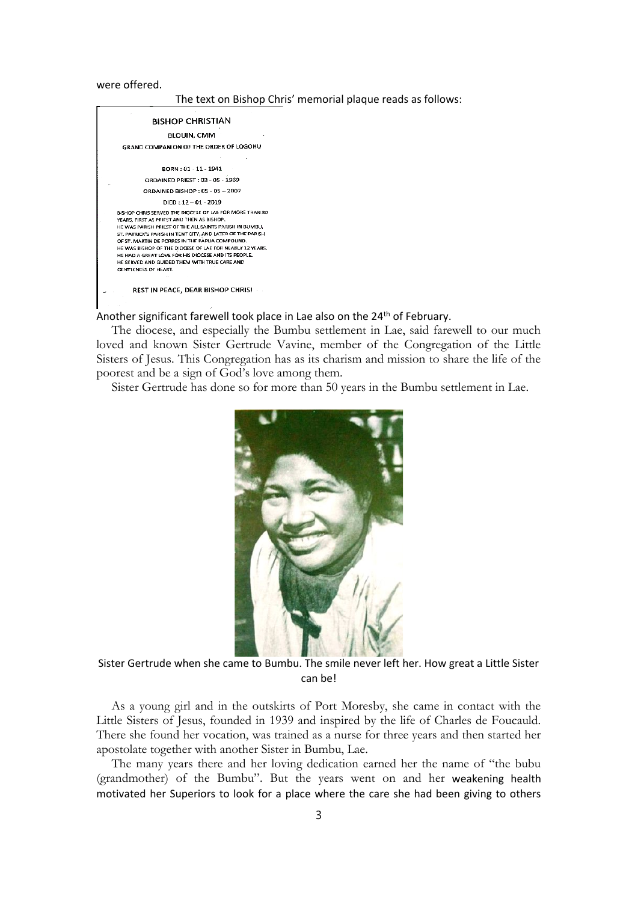were offered.

The text on Bishop Chris' memorial plaque reads as follows:



Another significant farewell took place in Lae also on the 24<sup>th</sup> of February.

The diocese, and especially the Bumbu settlement in Lae, said farewell to our much loved and known Sister Gertrude Vavine, member of the Congregation of the Little Sisters of Jesus. This Congregation has as its charism and mission to share the life of the poorest and be a sign of God's love among them.

Sister Gertrude has done so for more than 50 years in the Bumbu settlement in Lae.



Sister Gertrude when she came to Bumbu. The smile never left her. How great a Little Sister can be!

As a young girl and in the outskirts of Port Moresby, she came in contact with the Little Sisters of Jesus, founded in 1939 and inspired by the life of Charles de Foucauld. There she found her vocation, was trained as a nurse for three years and then started her apostolate together with another Sister in Bumbu, Lae.

The many years there and her loving dedication earned her the name of "the bubu (grandmother) of the Bumbu". But the years went on and her weakening health motivated her Superiors to look for a place where the care she had been giving to others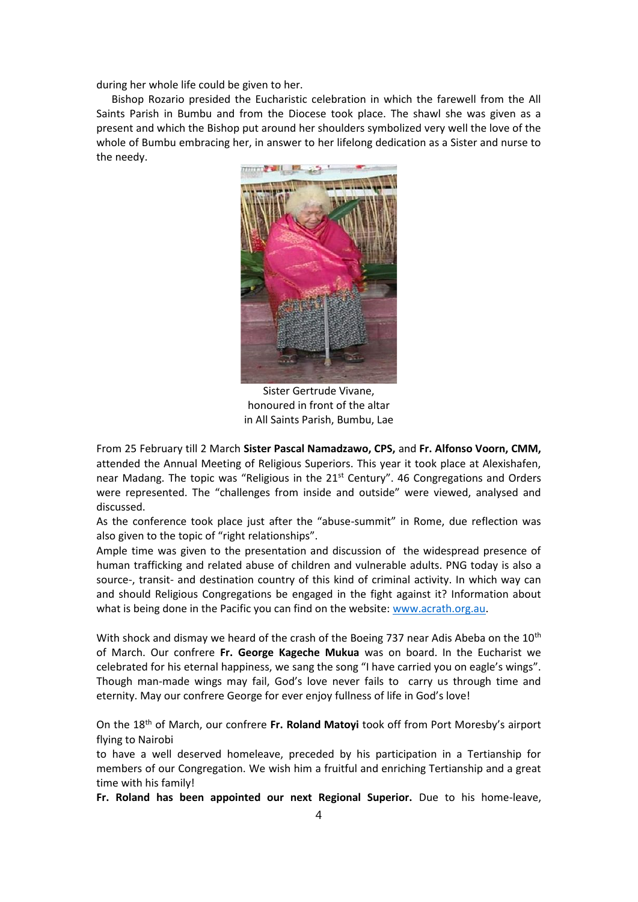during her whole life could be given to her.

Bishop Rozario presided the Eucharistic celebration in which the farewell from the All Saints Parish in Bumbu and from the Diocese took place. The shawl she was given as a present and which the Bishop put around her shoulders symbolized very well the love of the whole of Bumbu embracing her, in answer to her lifelong dedication as a Sister and nurse to the needy.



Sister Gertrude Vivane, honoured in front of the altar in All Saints Parish, Bumbu, Lae

From 25 February till 2 March **Sister Pascal Namadzawo, CPS,** and **Fr. Alfonso Voorn, CMM,** attended the Annual Meeting of Religious Superiors. This year it took place at Alexishafen, near Madang. The topic was "Religious in the  $21<sup>st</sup>$  Century". 46 Congregations and Orders were represented. The "challenges from inside and outside" were viewed, analysed and discussed.

As the conference took place just after the "abuse-summit" in Rome, due reflection was also given to the topic of "right relationships".

Ample time was given to the presentation and discussion of the widespread presence of human trafficking and related abuse of children and vulnerable adults. PNG today is also a source-, transit- and destination country of this kind of criminal activity. In which way can and should Religious Congregations be engaged in the fight against it? Information about what is being done in the Pacific you can find on the website: <www.acrath.org.au>.

With shock and dismay we heard of the crash of the Boeing 737 near Adis Abeba on the 10<sup>th</sup> of March. Our confrere **Fr. George Kageche Mukua** was on board. In the Eucharist we celebrated for his eternal happiness, we sang the song "I have carried you on eagle's wings". Though man-made wings may fail, God's love never fails to carry us through time and eternity. May our confrere George for ever enjoy fullness of life in God's love!

On the 18th of March, our confrere **Fr. Roland Matoyi** took off from Port Moresby's airport flying to Nairobi

to have a well deserved homeleave, preceded by his participation in a Tertianship for members of our Congregation. We wish him a fruitful and enriching Tertianship and a great time with his family!

**Fr. Roland has been appointed our next Regional Superior.** Due to his home-leave,